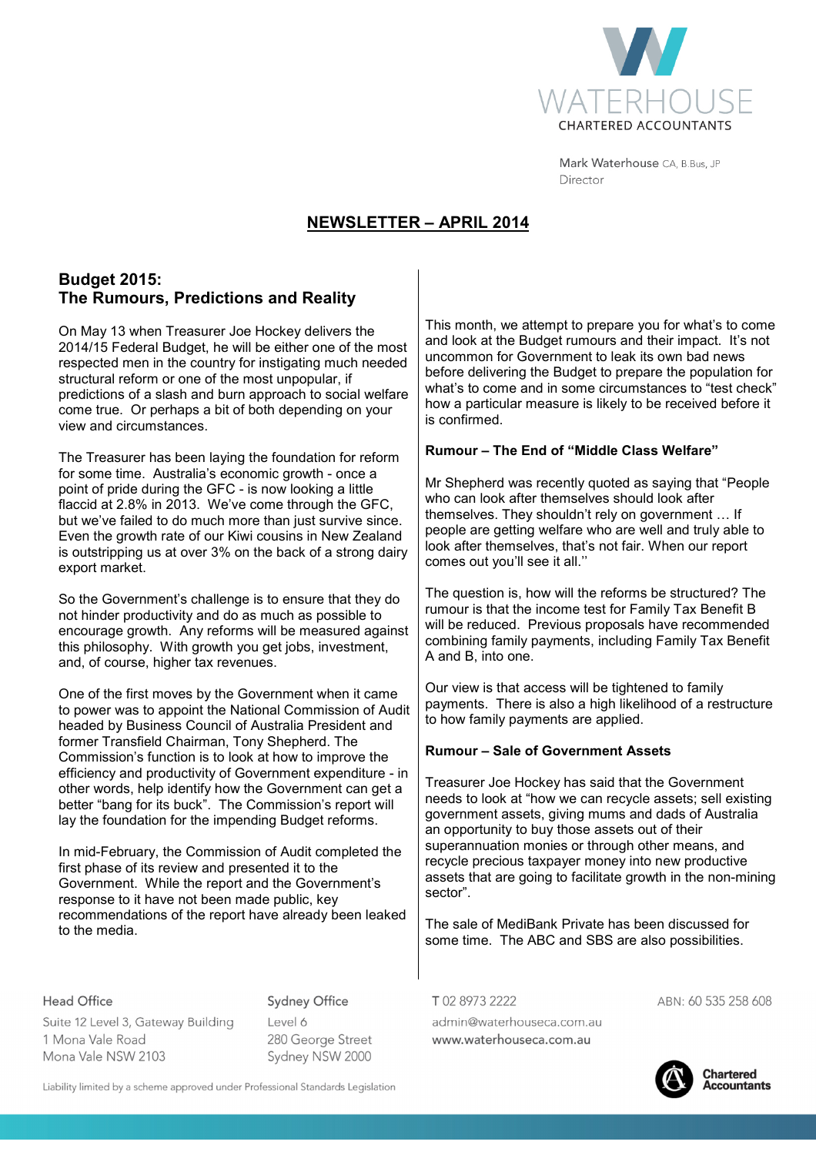

Mark Waterhouse CA, B.Bus, JP Director

# **NEWSLETTER – APRIL 2014**

# **Budget 2015: The Rumours, Predictions and Reality**

On May 13 when Treasurer Joe Hockey delivers the 2014/15 Federal Budget, he will be either one of the most respected men in the country for instigating much needed structural reform or one of the most unpopular, if predictions of a slash and burn approach to social welfare come true. Or perhaps a bit of both depending on your view and circumstances.

The Treasurer has been laying the foundation for reform for some time. Australia's economic growth - once a point of pride during the GFC - is now looking a little flaccid at 2.8% in 2013. We've come through the GFC, but we've failed to do much more than just survive since. Even the growth rate of our Kiwi cousins in New Zealand is outstripping us at over 3% on the back of a strong dairy export market.

So the Government's challenge is to ensure that they do not hinder productivity and do as much as possible to encourage growth. Any reforms will be measured against this philosophy. With growth you get jobs, investment, and, of course, higher tax revenues.

One of the first moves by the Government when it came to power was to appoint the National Commission of Audit headed by Business Council of Australia President and former Transfield Chairman, Tony Shepherd. The Commission's function is to look at how to improve the efficiency and productivity of Government expenditure - in other words, help identify how the Government can get a better "bang for its buck". The Commission's report will lay the foundation for the impending Budget reforms.

In mid-February, the Commission of Audit completed the first phase of its review and presented it to the Government. While the report and the Government's response to it have not been made public, key recommendations of the report have already been leaked to the media.

Head Office

**Sydney Office** 

Suite 12 Level 3, Gateway Building 1 Mona Vale Road Mona Vale NSW 2103

Level 6 280 George Street Sydney NSW 2000

Liability limited by a scheme approved under Professional Standards Legislation

This month, we attempt to prepare you for what's to come and look at the Budget rumours and their impact. It's not uncommon for Government to leak its own bad news before delivering the Budget to prepare the population for what's to come and in some circumstances to "test check" how a particular measure is likely to be received before it is confirmed.

# **Rumour – The End of "Middle Class Welfare"**

Mr Shepherd was recently quoted as saying that "People who can look after themselves should look after themselves. They shouldn't rely on government ... If people are getting welfare who are well and truly able to look after themselves, that's not fair. When our report comes out you'll see it all.''

The question is, how will the reforms be structured? The rumour is that the income test for Family Tax Benefit B will be reduced. Previous proposals have recommended combining family payments, including Family Tax Benefit A and B, into one.

Our view is that access will be tightened to family payments. There is also a high likelihood of a restructure to how family payments are applied.

# **Rumour – Sale of Government Assets**

Treasurer Joe Hockey has said that the Government needs to look at "how we can recycle assets; sell existing government assets, giving mums and dads of Australia an opportunity to buy those assets out of their superannuation monies or through other means, and recycle precious taxpayer money into new productive assets that are going to facilitate growth in the non-mining sector".

The sale of MediBank Private has been discussed for some time. The ABC and SBS are also possibilities.

T0289732222

admin@waterhouseca.com.au www.waterhouseca.com.au

ABN: 60 535 258 608



**Chartered Accountants**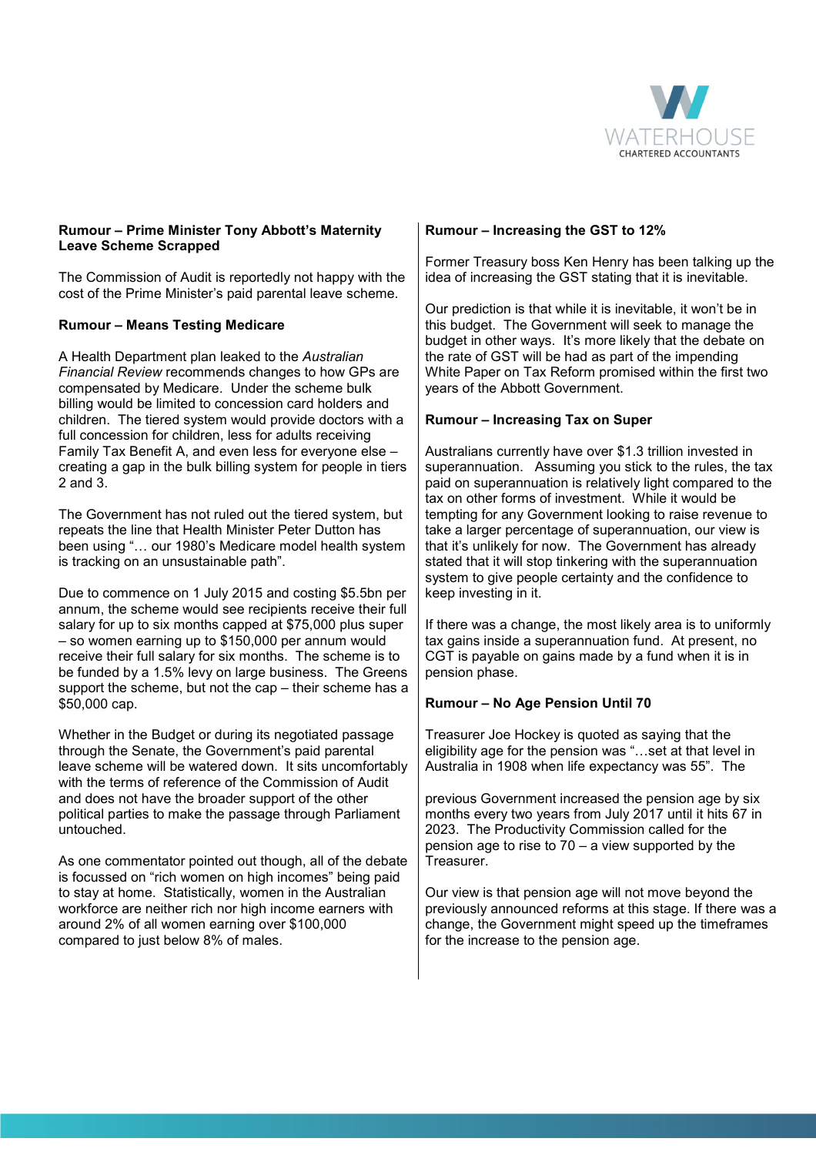

#### **Rumour – Prime Minister Tony Abbott's Maternity Leave Scheme Scrapped**

The Commission of Audit is reportedly not happy with the cost of the Prime Minister's paid parental leave scheme.

# **Rumour – Means Testing Medicare**

A Health Department plan leaked to the *Australian Financial Review* recommends changes to how GPs are compensated by Medicare. Under the scheme bulk billing would be limited to concession card holders and children. The tiered system would provide doctors with a full concession for children, less for adults receiving Family Tax Benefit A, and even less for everyone else – creating a gap in the bulk billing system for people in tiers 2 and 3.

The Government has not ruled out the tiered system, but repeats the line that Health Minister Peter Dutton has been using "... our 1980's Medicare model health system is tracking on an unsustainable path".

Due to commence on 1 July 2015 and costing \$5.5bn per annum, the scheme would see recipients receive their full salary for up to six months capped at \$75,000 plus super – so women earning up to \$150,000 per annum would receive their full salary for six months. The scheme is to be funded by a 1.5% levy on large business. The Greens support the scheme, but not the cap – their scheme has a \$50,000 cap.

Whether in the Budget or during its negotiated passage through the Senate, the Government's paid parental leave scheme will be watered down. It sits uncomfortably with the terms of reference of the Commission of Audit and does not have the broader support of the other political parties to make the passage through Parliament untouched.

As one commentator pointed out though, all of the debate is focussed on "rich women on high incomes" being paid to stay at home. Statistically, women in the Australian workforce are neither rich nor high income earners with around 2% of all women earning over \$100,000 compared to just below 8% of males.

#### **Rumour – Increasing the GST to 12%**

Former Treasury boss Ken Henry has been talking up the idea of increasing the GST stating that it is inevitable.

Our prediction is that while it is inevitable, it won't be in this budget. The Government will seek to manage the budget in other ways. It's more likely that the debate on the rate of GST will be had as part of the impending White Paper on Tax Reform promised within the first two years of the Abbott Government.

#### **Rumour – Increasing Tax on Super**

Australians currently have over \$1.3 trillion invested in superannuation. Assuming you stick to the rules, the tax paid on superannuation is relatively light compared to the tax on other forms of investment. While it would be tempting for any Government looking to raise revenue to take a larger percentage of superannuation, our view is that it's unlikely for now. The Government has already stated that it will stop tinkering with the superannuation system to give people certainty and the confidence to keep investing in it.

If there was a change, the most likely area is to uniformly tax gains inside a superannuation fund. At present, no CGT is payable on gains made by a fund when it is in pension phase.

# **Rumour – No Age Pension Until 70**

Treasurer Joe Hockey is quoted as saying that the eligibility age for the pension was "...set at that level in Australia in 1908 when life expectancy was 55". The

previous Government increased the pension age by six months every two years from July 2017 until it hits 67 in 2023. The Productivity Commission called for the pension age to rise to 70 – a view supported by the Treasurer.

Our view is that pension age will not move beyond the previously announced reforms at this stage. If there was a change, the Government might speed up the timeframes for the increase to the pension age.